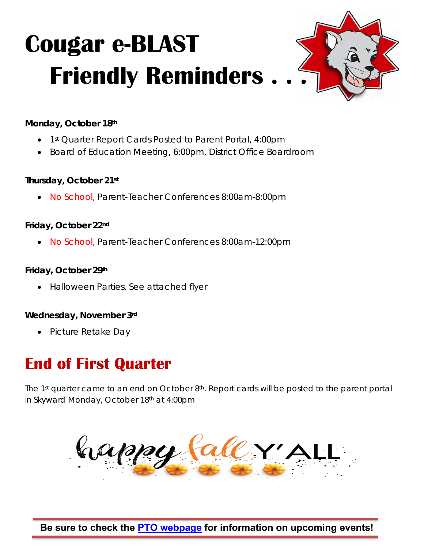

**Monday, October 18th**

- 1<sup>st</sup> Quarter Report Cards Posted to Parent Portal, 4:00pm
- Board of Education Meeting, 6:00pm, District Office Boardroom

**Thursday, October 21st**

• No School, Parent-Teacher Conferences 8:00am-8:00pm

**Friday, October 22nd**

• No School, Parent-Teacher Conferences 8:00am-12:00pm

**Friday, October 29th**

• Halloween Parties, See attached flyer

**Wednesday, November 3rd**

• Picture Retake Day

## **End of First Quarter**

The 1<sup>st</sup> quarter came to an end on October 8<sup>th</sup>. Report cards will be posted to the parent portal in Skyward Monday, October 18th at 4:00pm



**Be sure to check the [PTO webpage](https://ct.central301.net/ptoptc/) for information on upcoming events!**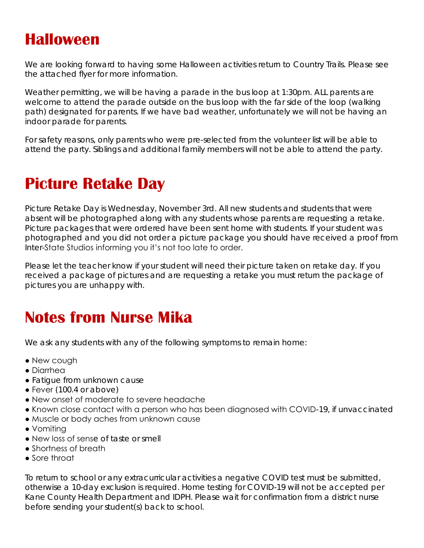### **Halloween**

We are looking forward to having some Halloween activities return to Country Trails. Please see the attached flyer for more information.

Weather permitting, we will be having a parade in the bus loop at 1:30pm. ALL parents are welcome to attend the parade outside on the bus loop with the far side of the loop (walking path) designated for parents. If we have bad weather, unfortunately we will not be having an indoor parade for parents.

For safety reasons, only parents who were pre-selected from the volunteer list will be able to attend the party. Siblings and additional family members will not be able to attend the party.

## **Picture Retake Day**

Picture Retake Day is Wednesday, November 3rd. All new students and students that were absent will be photographed along with any students whose parents are requesting a retake. Picture packages that were ordered have been sent home with students. If your student was photographed and you did not order a picture package you should have received a proof from Inter-State Studios informing you it's not too late to order.

Please let the teacher know if your student will need their picture taken on retake day. If you received a package of pictures and are requesting a retake you must return the package of pictures you are unhappy with.

## **Notes from Nurse Mika**

We ask any students with any of the following symptoms to remain home:

- New cough
- Diarrhea
- Fatigue from unknown cause
- Fever (100.4 or above)
- New onset of moderate to severe headache
- Known close contact with a person who has been diagnosed with COVID-19, if unvaccinated
- Muscle or body aches from unknown cause
- Vomiting
- New loss of sense of taste or smell
- Shortness of breath
- Sore throat

To return to school or any extracurricular activities a negative COVID test must be submitted, otherwise a 10-day exclusion is required. Home testing for COVID-19 will not be accepted per Kane County Health Department and IDPH. Please wait for confirmation from a district nurse before sending your student(s) back to school.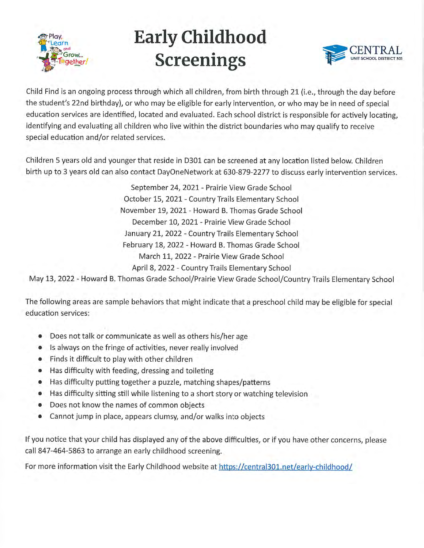

# **Early Childhood Screenings**



Child Find is an ongoing process through which all children, from birth through 21 (i.e., through the day before the student's 22nd birthday), or who may be eligible for early intervention, or who may be in need of special education services are identified, located and evaluated. Each school district is responsible for actively locating, identifying and evaluating all children who live within the district boundaries who may qualify to receive special education and/or related services.

Children 5 years old and younger that reside in D301 can be screened at any location listed below. Children birth up to 3 years old can also contact DayOneNetwork at 630-879-2277 to discuss early intervention services.

> September 24, 2021 - Prairie View Grade School October 15, 2021 - Country Trails Elementary School November 19, 2021 - Howard B. Thomas Grade School December 10, 2021 - Prairie View Grade School January 21, 2022 - Country Trails Elementary School February 18, 2022 - Howard B. Thomas Grade School March 11, 2022 - Prairie View Grade School April 8, 2022 - Country Trails Elementary School

May 13, 2022 - Howard B. Thomas Grade School/Prairie View Grade School/Country Trails Elementary School

The following areas are sample behaviors that might indicate that a preschool child may be eligible for special education services:

- Does not talk or communicate as well as others his/her age
- Is always on the fringe of activities, never really involved
- Finds it difficult to play with other children
- Has difficulty with feeding, dressing and toileting  $\bullet$
- Has difficulty putting together a puzzle, matching shapes/patterns  $\bullet$
- Has difficulty sitting still while listening to a short story or watching television
- Does not know the names of common objects  $\bullet$
- Cannot jump in place, appears clumsy, and/or walks into objects

If you notice that your child has displayed any of the above difficulties, or if you have other concerns, please call 847-464-5863 to arrange an early childhood screening.

For more information visit the Early Childhood website at https://central301.net/early-childhood/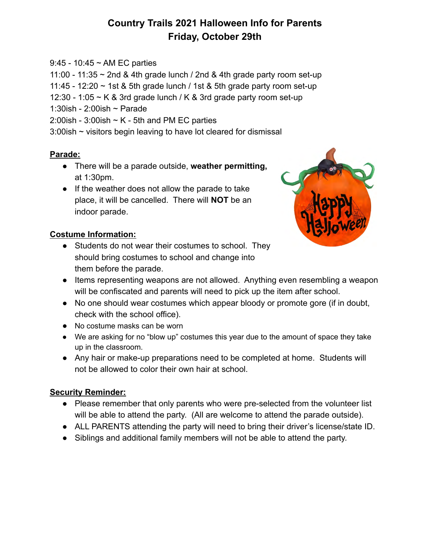### **Country Trails 2021 Halloween Info for Parents Friday, October 29th**

9:45 - 10:45 ~ AM EC parties

11:00 - 11:35  $\sim$  2nd & 4th grade lunch / 2nd & 4th grade party room set-up

11:45 - 12:20  $\sim$  1st & 5th grade lunch / 1st & 5th grade party room set-up

12:30 - 1:05  $\sim$  K & 3rd grade lunch / K & 3rd grade party room set-up

1:30ish - 2:00ish ~ Parade

2:00ish - 3:00ish  $\sim$  K - 5th and PM EC parties

3:00ish ~ visitors begin leaving to have lot cleared for dismissal

### **Parade:**

- There will be a parade outside, **weather permitting,** at 1:30pm.
- If the weather does not allow the parade to take place, it will be cancelled. There will **NOT** be an indoor parade.

### **Costume Information:**

● Students do not wear their costumes to school. They should bring costumes to school and change into them before the parade.



- Items representing weapons are not allowed. Anything even resembling a weapon will be confiscated and parents will need to pick up the item after school.
- No one should wear costumes which appear bloody or promote gore (if in doubt, check with the school office).
- **●** No costume masks can be worn
- We are asking for no "blow up" costumes this year due to the amount of space they take up in the classroom.
- Any hair or make-up preparations need to be completed at home. Students will not be allowed to color their own hair at school.

### **Security Reminder:**

- Please remember that only parents who were pre-selected from the volunteer list will be able to attend the party. (All are welcome to attend the parade outside).
- ALL PARENTS attending the party will need to bring their driver's license/state ID.
- Siblings and additional family members will not be able to attend the party.